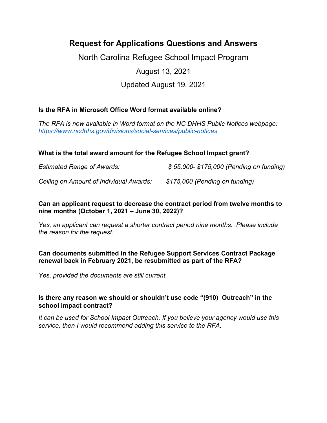# **Request for Applications Questions and Answers**

North Carolina Refugee School Impact Program

## August 13, 2021

## Updated August 19, 2021

## **Is the RFA in Microsoft Office Word format available online?**

*The RFA is now available in Word format on the NC DHHS Public Notices webpage: <https://www.ncdhhs.gov/divisions/social-services/public-notices>*

## **What is the total award amount for the Refugee School Impact grant?**

*Estimated Range of Awards: \$ 55,000- \$175,000 (Pending on funding) Ceiling on Amount of Individual Awards: \$175,000 (Pending on funding)*

## **Can an applicant request to decrease the contract period from twelve months to nine months (October 1, 2021 – June 30, 2022)?**

*Yes, an applicant can request a shorter contract period nine months. Please include the reason for the request.* 

## **Can documents submitted in the Refugee Support Services Contract Package renewal back in February 2021, be resubmitted as part of the RFA?**

*Yes, provided the documents are still current.* 

## **Is there any reason we should or shouldn't use code "(910) Outreach" in the school impact contract?**

*It can be used for School Impact Outreach. If you believe your agency would use this service, then I would recommend adding this service to the RFA.*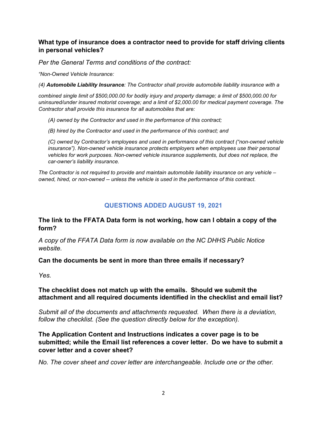## **What type of insurance does a contractor need to provide for staff driving clients in personal vehicles?**

*Per the General Terms and conditions of the contract:* 

*"Non-Owned Vehicle Insurance:*

*(4) Automobile Liability Insurance: The Contractor shall provide automobile liability insurance with a*

*combined single limit of \$500,000.00 for bodily injury and property damage; a limit of \$500,000.00 for uninsured/under insured motorist coverage; and a limit of \$2,000.00 for medical payment coverage. The Contractor shall provide this insurance for all automobiles that are:* 

*(A) owned by the Contractor and used in the performance of this contract;*

*(B) hired by the Contractor and used in the performance of this contract; and*

*(C) owned by Contractor's employees and used in performance of this contract ("non-owned vehicle insurance"). Non-owned vehicle insurance protects employers when employees use their personal vehicles for work purposes. Non-owned vehicle insurance supplements, but does not replace, the car-owner's liability insurance.* 

*The Contractor is not required to provide and maintain automobile liability insurance on any vehicle – owned, hired, or non-owned -- unless the vehicle is used in the performance of this contract.*

## **QUESTIONS ADDED AUGUST 19, 2021**

## **The link to the FFATA Data form is not working, how can I obtain a copy of the form?**

*A copy of the FFATA Data form is now available on the NC DHHS Public Notice website.* 

#### **Can the documents be sent in more than three emails if necessary?**

*Yes.* 

#### **The checklist does not match up with the emails. Should we submit the attachment and all required documents identified in the checklist and email list?**

*Submit all of the documents and attachments requested. When there is a deviation, follow the checklist. (See the question directly below for the exception).* 

## **The Application Content and Instructions indicates a cover page is to be submitted; while the Email list references a cover letter. Do we have to submit a cover letter and a cover sheet?**

*No. The cover sheet and cover letter are interchangeable. Include one or the other.*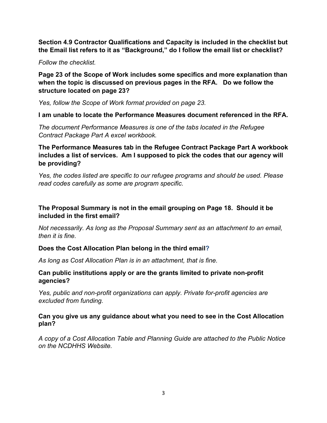**Section 4.9 Contractor Qualifications and Capacity is included in the checklist but the Email list refers to it as "Background," do I follow the email list or checklist?**

*Follow the checklist.*

**Page 23 of the Scope of Work includes some specifics and more explanation than when the topic is discussed on previous pages in the RFA. Do we follow the structure located on page 23?** 

*Yes, follow the Scope of Work format provided on page 23.* 

**I am unable to locate the Performance Measures document referenced in the RFA.**

*The document Performance Measures is one of the tabs located in the Refugee Contract Package Part A excel workbook.* 

**The Performance Measures tab in the Refugee Contract Package Part A workbook includes a list of services. Am I supposed to pick the codes that our agency will be providing?** 

*Yes, the codes listed are specific to our refugee programs and should be used. Please read codes carefully as some are program specific.* 

## **The Proposal Summary is not in the email grouping on Page 18. Should it be included in the first email?**

*Not necessarily. As long as the Proposal Summary sent as an attachment to an email, then it is fine.* 

#### **Does the Cost Allocation Plan belong in the third email?**

*As long as Cost Allocation Plan is in an attachment, that is fine.*

#### **Can public institutions apply or are the grants limited to private non-profit agencies?**

*Yes, public and non-profit organizations can apply. Private for-profit agencies are excluded from funding.*

#### **Can you give us any guidance about what you need to see in the Cost Allocation plan?**

*A copy of a Cost Allocation Table and Planning Guide are attached to the Public Notice on the NCDHHS Website.*